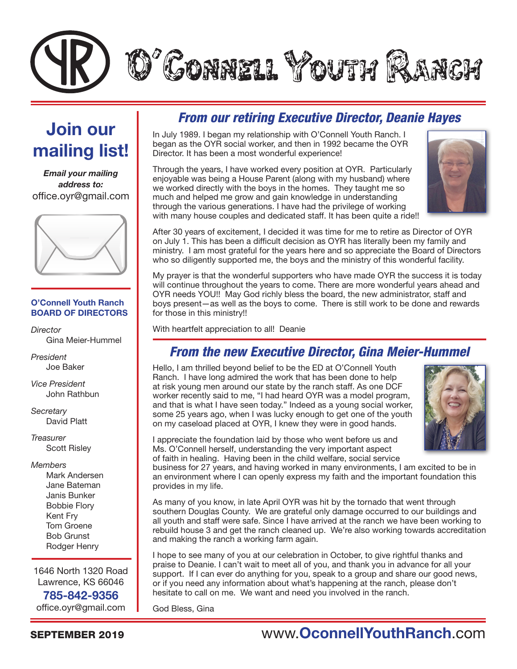

# Join our mailing list!

*Email your mailing address to:* office.oyr@gmail.com



#### O'Connell Youth Ranch BOARD OF DIRECTORS

*Director* Gina Meier-Hummel

*President* Joe Baker

*Vice President* John Rathbun

*Secretary* David Platt

*Treasurer* Scott Risley

#### *Members*

Mark Andersen Jane Bateman Janis Bunker Bobbie Flory Kent Fry Tom Groene Bob Grunst Rodger Henry

1646 North 1320 Road Lawrence, KS 66046 785-842-9356 office.oyr@gmail.com

### *From our retiring Executive Director, Deanie Hayes*

In July 1989. I began my relationship with O'Connell Youth Ranch. I began as the OYR social worker, and then in 1992 became the OYR Director. It has been a most wonderful experience!

Through the years, I have worked every position at OYR. Particularly enjoyable was being a House Parent (along with my husband) where we worked directly with the boys in the homes. They taught me so much and helped me grow and gain knowledge in understanding through the various generations. I have had the privilege of working with many house couples and dedicated staff. It has been quite a ride!!



After 30 years of excitement, I decided it was time for me to retire as Director of OYR on July 1. This has been a difficult decision as OYR has literally been my family and ministry. I am most grateful for the years here and so appreciate the Board of Directors who so diligently supported me, the boys and the ministry of this wonderful facility.

My prayer is that the wonderful supporters who have made OYR the success it is today will continue throughout the years to come. There are more wonderful years ahead and OYR needs YOU!! May God richly bless the board, the new administrator, staff and boys present—as well as the boys to come. There is still work to be done and rewards for those in this ministry!!

With heartfelt appreciation to all! Deanie

### *From the new Executive Director, Gina Meier-Hummel*

Hello, I am thrilled beyond belief to be the ED at O'Connell Youth Ranch. I have long admired the work that has been done to help at risk young men around our state by the ranch staff. As one DCF worker recently said to me, "I had heard OYR was a model program, and that is what I have seen today." Indeed as a young social worker, some 25 years ago, when I was lucky enough to get one of the youth on my caseload placed at OYR, I knew they were in good hands.



I appreciate the foundation laid by those who went before us and Ms. O'Connell herself, understanding the very important aspect of faith in healing. Having been in the child welfare, social service

business for 27 years, and having worked in many environments, I am excited to be in an environment where I can openly express my faith and the important foundation this provides in my life.

As many of you know, in late April OYR was hit by the tornado that went through southern Douglas County. We are grateful only damage occurred to our buildings and all youth and staff were safe. Since I have arrived at the ranch we have been working to rebuild house 3 and get the ranch cleaned up. We're also working towards accreditation and making the ranch a working farm again.

I hope to see many of you at our celebration in October, to give rightful thanks and praise to Deanie. I can't wait to meet all of you, and thank you in advance for all your support. If I can ever do anything for you, speak to a group and share our good news, or if you need any information about what's happening at the ranch, please don't hesitate to call on me. We want and need you involved in the ranch.

God Bless, Gina

### SEPTEMBER 2019

# www.OconnellYouthRanch.com